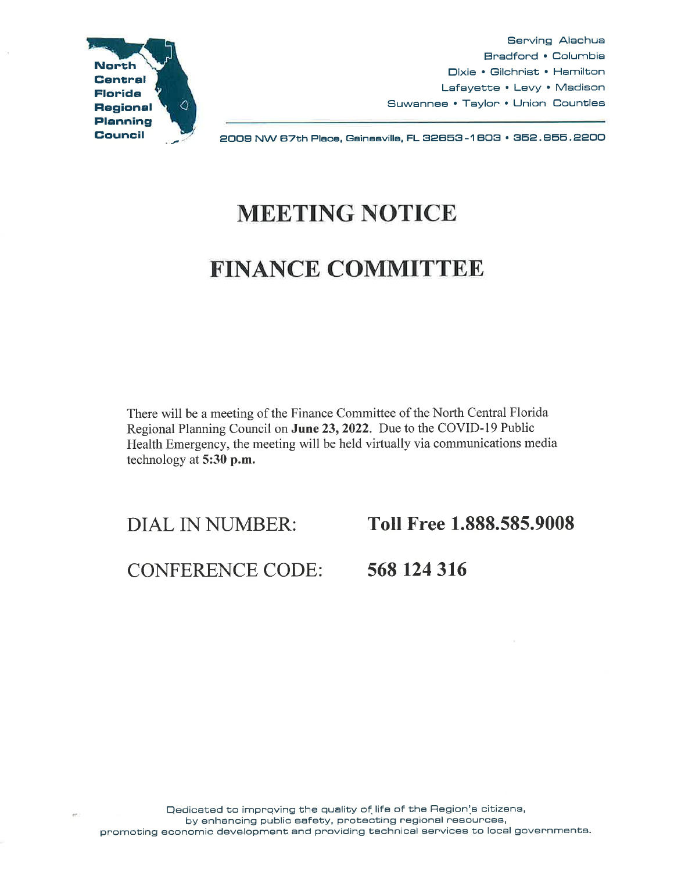

Serving Alachua Bradford • Columbia Dixie • Gilchrist • Hamilton Lafayette • Levy • Madison Suwannee • Taylor • Union Counties

2009 NW B7th Piece, Gainesville, FL 82858-1 BOS• 852.955.2200

## MEETING NOTICE

## FINANCE COMMITTEE

There will be a meeting of the Finance Committee of the North Central Florida Regional Planning Council on June 23, 2022. Due to the COVID-19 Public Health Emergency, the meeting will be held virtually via communications media technology at 5:30 p.m.

DIAL IN NUMBER: Toll Free 1.888.585.9008

CONFERENCE CODE: 568 124 316